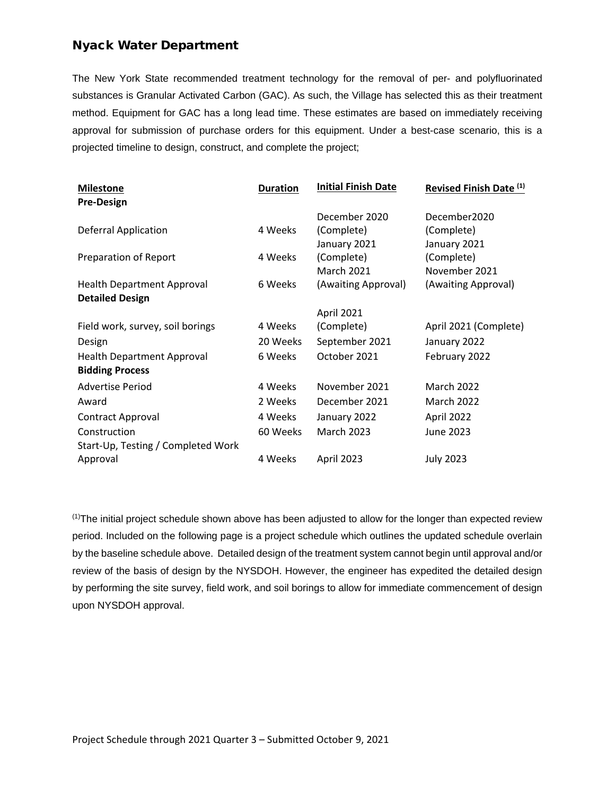## Nyack Water Department

The New York State recommended treatment technology for the removal of per- and polyfluorinated substances is Granular Activated Carbon (GAC). As such, the Village has selected this as their treatment method. Equipment for GAC has a long lead time. These estimates are based on immediately receiving approval for submission of purchase orders for this equipment. Under a best-case scenario, this is a projected timeline to design, construct, and complete the project;

| <b>Milestone</b>                   | <b>Duration</b> | <b>Initial Finish Date</b> | Revised Finish Date (1) |  |  |
|------------------------------------|-----------------|----------------------------|-------------------------|--|--|
| <b>Pre-Design</b>                  |                 |                            |                         |  |  |
|                                    |                 | December 2020              | December2020            |  |  |
| <b>Deferral Application</b>        | 4 Weeks         | (Complete)                 | (Complete)              |  |  |
|                                    |                 | January 2021               | January 2021            |  |  |
| Preparation of Report              | 4 Weeks         | (Complete)                 | (Complete)              |  |  |
|                                    |                 | <b>March 2021</b>          | November 2021           |  |  |
| <b>Health Department Approval</b>  | 6 Weeks         | (Awaiting Approval)        | (Awaiting Approval)     |  |  |
| <b>Detailed Design</b>             |                 |                            |                         |  |  |
|                                    |                 | April 2021                 |                         |  |  |
| Field work, survey, soil borings   | 4 Weeks         | (Complete)                 | April 2021 (Complete)   |  |  |
| Design                             | 20 Weeks        | September 2021             | January 2022            |  |  |
| <b>Health Department Approval</b>  | 6 Weeks         | October 2021               | February 2022           |  |  |
| <b>Bidding Process</b>             |                 |                            |                         |  |  |
| <b>Advertise Period</b>            | 4 Weeks         | November 2021              | <b>March 2022</b>       |  |  |
| Award                              | 2 Weeks         | December 2021              | <b>March 2022</b>       |  |  |
| Contract Approval                  | 4 Weeks         | January 2022               | April 2022              |  |  |
| Construction                       | 60 Weeks        | <b>March 2023</b>          | June 2023               |  |  |
| Start-Up, Testing / Completed Work |                 |                            |                         |  |  |
| Approval                           | 4 Weeks         | April 2023                 | <b>July 2023</b>        |  |  |

(1)The initial project schedule shown above has been adjusted to allow for the longer than expected review period. Included on the following page is a project schedule which outlines the updated schedule overlain by the baseline schedule above. Detailed design of the treatment system cannot begin until approval and/or review of the basis of design by the NYSDOH. However, the engineer has expedited the detailed design by performing the site survey, field work, and soil borings to allow for immediate commencement of design upon NYSDOH approval.